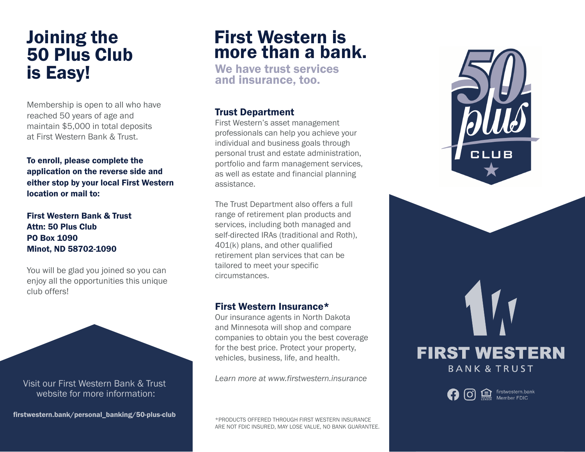## Joining the 50 Plus Club is Easy!

Membership is open to all who have reached 50 years of age and maintain \$5,000 in total deposits at First Western Bank & Trust.

To enroll, please complete the application on the reverse side and either stop by your local First Western location or mail to:

First Western Bank & Trust Attn: 50 Plus Club PO Box 1090 Minot, ND 58702-1090

You will be glad you joined so you can enjoy all the opportunities this unique club offers!

Visit our First Western Bank & Trust website for more information:

firstwestern.bank/personal\_banking/50-plus-club \*PRODUCTS OFFERED THROUGH FIRST WESTERN INSURANCE

### First Western is more than a bank.

We have trust services and insurance, too.

#### Trust Department

First Western's asset management professionals can help you achieve your individual and business goals through personal trust and estate administration, portfolio and farm management services, as well as estate and financial planning assistance.

The Trust Department also offers a full range of retirement plan products and services, including both managed and self-directed IRAs (traditional and Roth), 401(k) plans, and other qualified retirement plan services that can be tailored to meet your specific circumstances.

#### First Western Insurance\*

Our insurance agents in North Dakota and Minnesota will shop and compare companies to obtain you the best coverage for the best price. Protect your property, vehicles, business, life, and health.

*Learn more at www.firstwestern.insurance*

ARE NOT FDIC INSURED, MAY LOSE VALUE, NO BANK GUARANTEE.